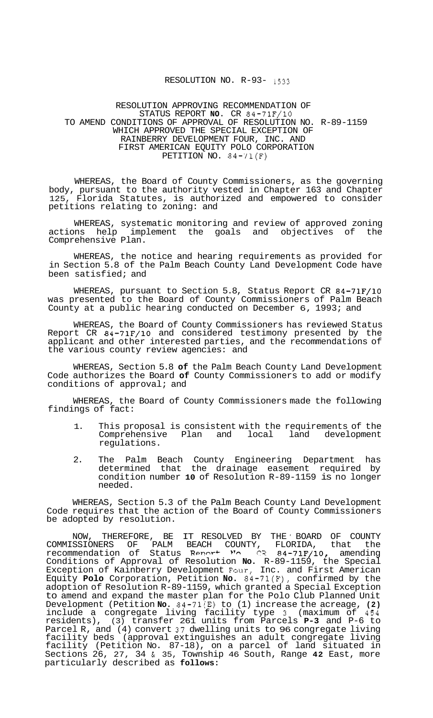## RESOLUTION NO. R-93- 1533

## RESOLUTION APPROVING RECOMMENDATION OF STATUS REPORT **NO.** CR 84-71F/10 TO AMEND CONDITIONS OF APPROVAL OF RESOLUTION NO. R-89-1159 WHICH APPROVED THE SPECIAL EXCEPTION OF RAINBERRY DEVELOPMENT FOUR, INC. AND FIRST AMERICAN EQUITY POLO CORPORATION PETITION NO.  $84-71(F)$

WHEREAS, the Board of County Commissioners, as the governing body, pursuant to the authority vested in Chapter 163 and Chapter 125, Florida Statutes, is authorized and empowered to consider petitions relating to zoning: and

WHEREAS, systematic monitoring and review of approved zoning actions help implement the goals and objectives of the Comprehensive Plan.

WHEREAS, the notice and hearing requirements as provided for in Section 5.8 of the Palm Beach County Land Development Code have been satisfied; and

WHEREAS, pursuant to Section 5.8, Status Report CR 84-71F/10 was presented to the Board of County Commissioners of Palm Beach County at a public hearing conducted on December 6, 1993; and

WHEREAS, the Board of County Commissioners has reviewed Status Report CR 84-71F/10 and considered testimony presented by the applicant and other interested parties, and the recommendations of the various county review agencies: and

WHEREAS, Section 5.8 **of** the Palm Beach County Land Development Code authorizes the Board **of** County Commissioners to add or modify conditions of approval; and

WHEREAS, the Board of County Commissioners made the following findings of fact:

- 1. This proposal is consistent with the requirements of the<br>Comprehensive Plan and local land development Comprehensive Plan and regulations.
- 2. The Palm Beach County Engineering Department has determined that the drainage easement required by condition number **10** of Resolution R-89-1159 is no longer needed.

WHEREAS, Section 5.3 of the Palm Beach County Land Development Code requires that the action of the Board of County Commissioners be adopted by resolution.

NOW, THEREFORE, BE IT RESOLVED BY THE ' BOARD OF COUNTY COMMISSIONERS OF PALM BEACH COUNTY, FLORIDA, that the recommendation of Status Rpw+ **prn CR** 84-7bF/10, amending Conditions of Approval of Resolution **No.** R-89-1159, the Special Exception of Kainberry Development Four, Inc. and First American Equity **Polo** Corporation, Petition **No.** 84-71(F), confirmed by the adoption of Resolution R-89-1159, which granted a Special Exception to amend and expand the master plan for the Polo Club Planned Unit Development (Petition **No.** 84-71(E) to (1) increase the acreage, **(2)**  include a congregate living facility type **3** (maximum of 454 residents), (3) transfer 261 units from Parcels **P-3** and P-6 to Parcel R, and (4) convert 37 dwelling units to 96 congregate living facility beds (approval extinguishes an adult congregate living facility (Petition No. 87-18), on a parcel of land situated in Sections 26, 27, 34 & 35, Township 46 South, Range **42** East, more particularly described as **follows:**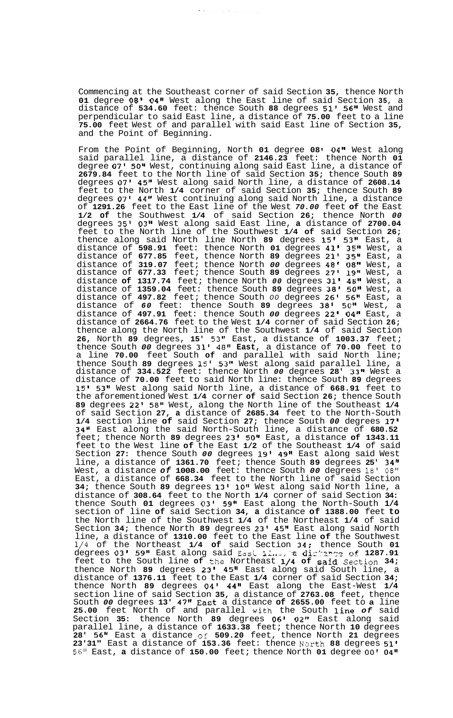Commencing at the Southeast corner of said Section **35,** thence North **01** degree **08' 04"** West along the East line of said Section **35,** a distance of **534.60** feet: thence South **88** degrees **51' 56"** West and perpendicular to said East line, a distance of **75.00** feet to a line **75.00** feet West of and parallel with said East line of Section **35,**  and the Point of Beginning.

 $\ddot{\phantom{a}}$ 

From the Point of Beginning, North **01** degree **08 04"** West along said parallel line, a distance of **2146.23** feet: thence North **01**  degree **07' 50"** West, continuing along said East line, a distance of **2679.84** feet to the North line of said Section **35;** thence South **89**  degrees **07' 45"** West along said North line, a distance of **2608.14**  feet to the North **1/4** corner of said Section **35;** thence South **89**  degrees **07' 44"** West continuing along said North line, a distance of **1291.26** feet to the East line of the West *70.00* feet **of** the East **1/2 of** the Southwest **1/4** of said Section **26;** thence North *00*  degrees **35' 03"** West along said East line, **a** distance of **2700.04**  feet to the North line of the Southwest **1/4 of** said Section **26;**  thence along said North line North **89** degrees **15' 53"** East, a distance of **598.91** feet: thence North **01** degrees **41' 35"** West, a distance of **677.85** feet, thence North **89** degrees **21' 35"** East, a distance of **319.07** feet; thence North *00* degrees **48' 08"** West, a distance of **677.33** feet; thence South **89** degrees **27' 19''** West, a distance **of 1317.74** feet; thence North *00* degrees **31' 48"** West, a distance of **1359.04** feet: thence South **89** degrees **38' 50"** West, a distance of **497.82** feet; thence South *00* degrees **26' 56"** East, a distance of *60* feet: thence South **89** degrees **38'** *50"* West, a distance of **497.91** feet: thence South *00* degrees **22' 04"** East, a distance of **2664.76** feet to the West **1/4** corner of said Section **26;**  thence along the North line of the Southwest **1/4** of said Section **26,** North **89** degrees, **15'** *53"* East, a distance of **1003.37** feet; thence South *00* degrees **31' 48" East,** a distance of **70.00** feet to a line **70.00** feet South **of** and parallel with said North line; thence South **89** degrees **15' 53"** West along said parallel line, a distance of **334.522** feet: thence North *00* degrees **28' 33"** West a distance of **70.00** feet to said North line: thence South **89** degrees **15' 53"** West along said North line, a distance of **668.91** feet to the aforementioned West **1/4** corner **of** said Section **26;** thence South **89** degrees **22'** *58"* West, along the North line of the Southeast **1/4**  of said Section **27, a** distance of **2685.34** feet to the North-South **1/4** section line **of** said Section **27;** thence South *00* degrees **17' 34"** East along the said North-South line, a distance of **680.52**  feet; thence North **89** degrees **23' 50"** East, a distance **of 1343.11**  feet to the West line **of** the East **1/2** of the Southeast **1/4** of said Section **27:** thence South *00* degrees **19' 49"** East along said West line, a distance of **1361.70** feet; thence South **89** degrees **25' 34"**  West, a distance *of* **1008.00** feet: thence South *00* degrees **18'** *08"*  East, a distance of **668.34** feet to the North line of said Section **34;** thence South **89** degrees **13' 10"** West along said North line, a distance of **308.64** feet to the North **1/4** corner of said Section **34:**  thence South **01** degrees *03'* **59"** East along the North-South **1/4**  section of line **of** said Section **34, a** distance **of 1388.00** feet **to**  the North line of the Southwest **1/4** of the Northeast **1/4** of said Section **34;** thence North **89** degrees **23' 45"** East along said North line, a distance of **1310.00** feet to the East line **of** the Southwest **1/4** of the Northeast **1/4 of** said Section **34;** thence South **01**  degrees 03' 59" East along said East *III., a distance of 1287.91* feet to the South line **of** the Northeast **1/4 of** said Section **34;**  thence North **89** degrees **23' 45"** East along said South line, a distance of **1376.11** feet to the East **1/4** corner of said Section **34;**  thence North **89** degrees **04' 44"** East along the East-West **1/4**  section line of said Section **35,** a distance of **2763.08** feet, thence South *00* degrees **13' 47"** East a distance **of 2655.00** feet to **a** line **25.00** feet North of and parallel with the South line *of* said Section **35:** thence North **89** degrees **06' 02"** East along said parallel line, a distance of **1633.38** feet; thence North **10** degrees **28' 56''** East a distance of **509.20** feet, thence North **21** degrees **23'31"** East a distance of **153.36** feet: thence Narth **88** degrees **51'**  *56"* East, **a** distance of **150.00** feet; thence North **01** degree *00'* **04"**  2CL1<br>.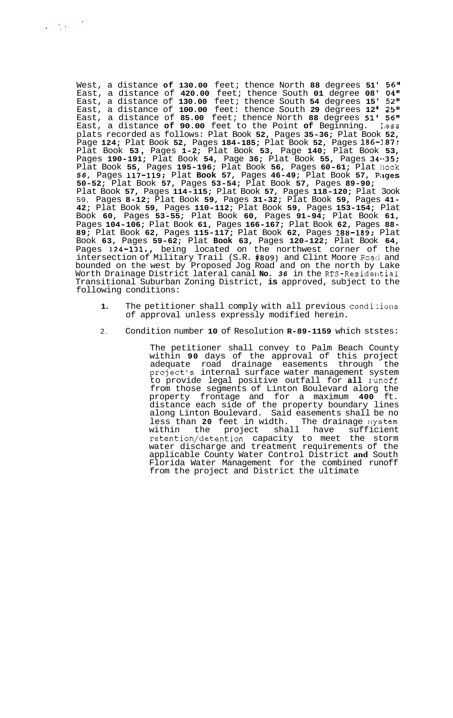West, a distance **of 130.00** feet; thence North **88** degrees **51' 56"**  East, a distance of **420.00** feet; thence South **01** degree **08' 04"**  East, a distance of **130.00** feet; thence South **54** degrees **15' 52"**  East, a distance of **100.00** feet: thence South **29** degrees **12 I 25"**  East, a distance of **85.00** feet; thence North **88** degrees **51' 56"**  East, a distance of 90.00 feet to the Point of Beginning. Less plats recorded as follows: Plat Book **52,** Pages **35-36;** Plat Book **52,**  Page **124;** Plat Book **52,** Pages **184-185;** Plat Book **52,** Pages **186-1.87;**  Plat Book **53** , Pages **1-2;** Plat Book **53,** Page **140;** Plat Book **53,**  Pages **190-191;** Plat Book **54,** Page **36;** Plat Book **55,** Pages **34--35;**  Plat Book **55,** Pages **195-196;** Plat Book **56,** Pages **60-61;** Plat 13ook *56,* Pages **117-119;** Plat **Book 57,** Pages **46-49;** Plat Book **57,** Piiges **50-52;** Plat Book **57,** Pages **53-54;** Plat Book **57,** Pages **89-90;**  Plat Book **57,** Pages **114-115;** Plat Book **57,** Pages **118-120;** Plat 3ook 59, Pages **8-12;** Plat Book **59,** Pages **31-32;** Plat Book **59,** Pages **41- 42;** Plat Book **59,** Pages **110-112;** Plat Book **59,** Pages **153-154;** Plat Book **60,** Pages **53-55;** Plat Book **60,** Pages **91-94;** Plat Book **61,**  Pages **104-106;** Plat Book **61,** Pages **166-167;** Plat Book **62,** Pages **88- 89;** Plat Book **62,** Pages **115-117;** Plat Book **62,** Pages **188-189;** Plat Book **63,** Pages **59-62;** Plat **Book 63,** Pages **120-122;** Plat Book **64,**  Pages **124-131.,** being located on the northwest corner of the intersection of Military Trail (S.R. **#809)** and Clint Moore Roatl and bounded on the west by Proposed Jog Road and on the north by Lake Worth Drainage District lateral canal **No.** *36* in the RTS-Residelktial Transitional Suburban Zoning District, **is** approved, subject to the following conditions:

 $\label{eq:2} \frac{1}{\sqrt{2}}\left(\frac{1}{\sqrt{2}}\right)^{1/2}\left(\frac{1}{\sqrt{2}}\right)^{1/2}$ 

- 1. The petitioner shall comply with all previous conditions of approval unless expressly modified herein.
- 2. Condition number **10** of Resolution **R-89-1159** which ststes:

The petitioner shall convey to Palm Beach County within **90** days of the approval of this project adequate road drainage easements through the project's internal surface water management system to provide legal positive outfall for **all** Iunoff from those segments of Linton Boulevard alorg the property frontage and for a maximum **400** ft. distance each side of the property boundary lines along Linton Boulevard. Said easements shall be no<br>less than 20 feet in width. The drainage system less than 20 feet in width.<br>within the project shal project shall have sufficient retention/detention capacity to meet the storm water discharge and treatment requirements of the applicable County Water Control District **and** South Florida Water Management for the combined runoff from the project and District the ultimate